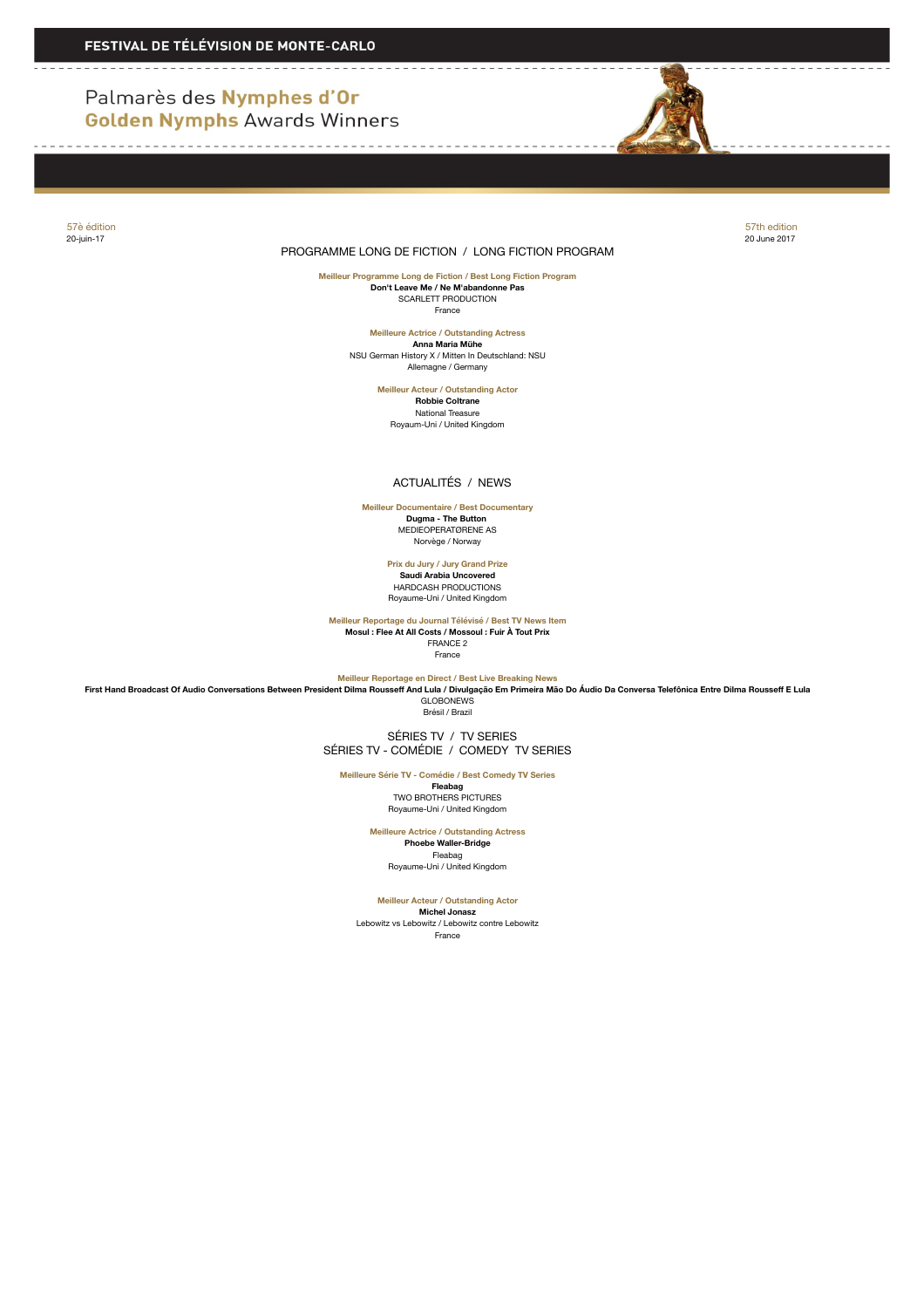# Palmarès des Nymphes d'Or **Golden Nymphs Awards Winners**



#### PROGRAMME LONG DE FICTION / LONG FICTION PROGRAM

57è édition 57th edition 20-juin-17 20 June 2017

 $- - - - - -$ 

**Meilleur Programme Long de Fiction / Best Long Fiction Program Don't Leave Me / Ne M'abandonne Pas** SCARLETT PRODUCTION France

> **Meilleure Actrice / Outstanding Actress Anna Maria Mühe** NSU German History X / Mitten In Deutschland: NSU Allemagne / Germany

> > **Meilleur Acteur / Outstanding Actor Robbie Coltrane** National Treasure Royaum-Uni / United Kingdom

## ACTUALITÉS / NEWS

**Meilleur Documentaire / Best Documentary Dugma - The Button**  MEDIEOPERATØRENE AS Norvège / Norway

> **Prix du Jury / Jury Grand Prize Saudi Arabia Uncovered** HARDCASH PRODUCTIONS Royaume-Uni / United Kingdom

**Meilleur Reportage du Journal Télévisé / Best TV News Item Mosul : Flee At All Costs / Mossoul : Fuir À Tout Prix** ERANCE 2 **France** 

**Meilleur Reportage en Direct / Best Live Breaking News**

**First Hand Broadcast Of Audio Conversations Between President Dilma Rousseff And Lula / Divulgação Em Primeira Mão Do Áudio Da Conversa Telefônica Entre Dilma Rousseff E Lula GLOBONEWS** 

Brésil / Brazil

 SÉRIES TV / TV SERIES SÉRIES TV - COMÉDIE / COMEDY TV SERIES

**Meilleure Série TV - Comédie / Best Comedy TV Series**

**Fleabag** TWO BROTHERS PICTURES Royaume-Uni / United Kingdom

**Meilleure Actrice / Outstanding Actress**

**Phoebe Waller-Bridge** Fleabag Royaume-Uni / United Kingdom

**Meilleur Acteur / Outstanding Actor**

**Michel Jonasz** Lebowitz vs Lebowitz / Lebowitz contre Lebowitz France